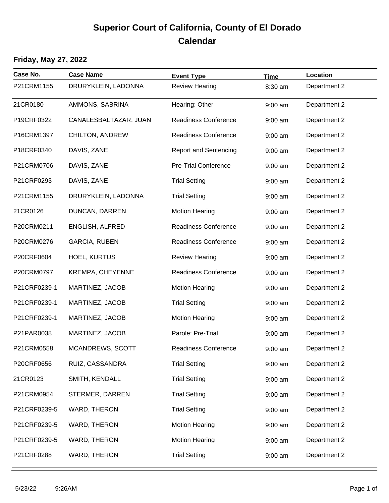## **Superior Court of California, County of El Dorado Calendar**

## **Friday, May 27, 2022**

| Case No.     | <b>Case Name</b>       | <b>Event Type</b>            | <b>Time</b> | Location     |
|--------------|------------------------|------------------------------|-------------|--------------|
| P21CRM1155   | DRURYKLEIN, LADONNA    | <b>Review Hearing</b>        | 8:30 am     | Department 2 |
| 21CR0180     | AMMONS, SABRINA        | Hearing: Other               | $9:00$ am   | Department 2 |
| P19CRF0322   | CANALESBALTAZAR, JUAN  | <b>Readiness Conference</b>  | $9:00$ am   | Department 2 |
| P16CRM1397   | CHILTON, ANDREW        | Readiness Conference         | $9:00$ am   | Department 2 |
| P18CRF0340   | DAVIS, ZANE            | <b>Report and Sentencing</b> | $9:00$ am   | Department 2 |
| P21CRM0706   | DAVIS, ZANE            | <b>Pre-Trial Conference</b>  | $9:00$ am   | Department 2 |
| P21CRF0293   | DAVIS, ZANE            | <b>Trial Setting</b>         | $9:00$ am   | Department 2 |
| P21CRM1155   | DRURYKLEIN, LADONNA    | <b>Trial Setting</b>         | $9:00$ am   | Department 2 |
| 21CR0126     | DUNCAN, DARREN         | <b>Motion Hearing</b>        | $9:00$ am   | Department 2 |
| P20CRM0211   | <b>ENGLISH, ALFRED</b> | <b>Readiness Conference</b>  | $9:00$ am   | Department 2 |
| P20CRM0276   | <b>GARCIA, RUBEN</b>   | <b>Readiness Conference</b>  | $9:00$ am   | Department 2 |
| P20CRF0604   | <b>HOEL, KURTUS</b>    | <b>Review Hearing</b>        | $9:00$ am   | Department 2 |
| P20CRM0797   | KREMPA, CHEYENNE       | <b>Readiness Conference</b>  | $9:00$ am   | Department 2 |
| P21CRF0239-1 | MARTINEZ, JACOB        | <b>Motion Hearing</b>        | $9:00$ am   | Department 2 |
| P21CRF0239-1 | MARTINEZ, JACOB        | <b>Trial Setting</b>         | $9:00$ am   | Department 2 |
| P21CRF0239-1 | MARTINEZ, JACOB        | <b>Motion Hearing</b>        | $9:00$ am   | Department 2 |
| P21PAR0038   | MARTINEZ, JACOB        | Parole: Pre-Trial            | $9:00$ am   | Department 2 |
| P21CRM0558   | MCANDREWS, SCOTT       | <b>Readiness Conference</b>  | $9:00$ am   | Department 2 |
| P20CRF0656   | RUIZ, CASSANDRA        | <b>Trial Setting</b>         | $9:00$ am   | Department 2 |
| 21CR0123     | SMITH, KENDALL         | <b>Trial Setting</b>         | $9:00$ am   | Department 2 |
| P21CRM0954   | STERMER, DARREN        | <b>Trial Setting</b>         | $9:00$ am   | Department 2 |
| P21CRF0239-5 | WARD, THERON           | <b>Trial Setting</b>         | $9:00$ am   | Department 2 |
| P21CRF0239-5 | WARD, THERON           | <b>Motion Hearing</b>        | $9:00$ am   | Department 2 |
| P21CRF0239-5 | WARD, THERON           | <b>Motion Hearing</b>        | $9:00$ am   | Department 2 |
| P21CRF0288   | WARD, THERON           | <b>Trial Setting</b>         | $9:00$ am   | Department 2 |